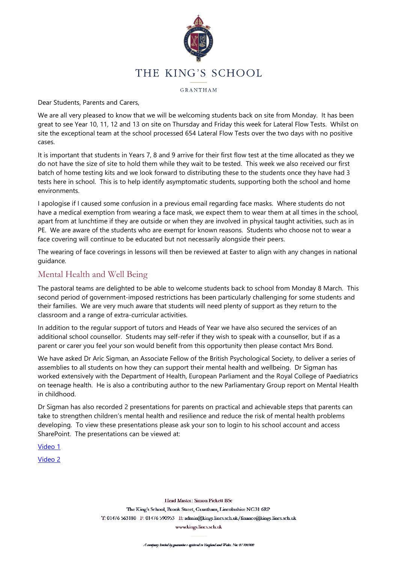

GRANTHAM

Dear Students, Parents and Carers,

We are all very pleased to know that we will be welcoming students back on site from Monday. It has been great to see Year 10, 11, 12 and 13 on site on Thursday and Friday this week for Lateral Flow Tests. Whilst on site the exceptional team at the school processed 654 Lateral Flow Tests over the two days with no positive cases.

It is important that students in Years 7, 8 and 9 arrive for their first flow test at the time allocated as they we do not have the size of site to hold them while they wait to be tested. This week we also received our first batch of home testing kits and we look forward to distributing these to the students once they have had 3 tests here in school. This is to help identify asymptomatic students, supporting both the school and home environments.

I apologise if I caused some confusion in a previous email regarding face masks. Where students do not have a medical exemption from wearing a face mask, we expect them to wear them at all times in the school, apart from at lunchtime if they are outside or when they are involved in physical taught activities, such as in PE. We are aware of the students who are exempt for known reasons. Students who choose not to wear a face covering will continue to be educated but not necessarily alongside their peers.

The wearing of face coverings in lessons will then be reviewed at Easter to align with any changes in national guidance.

# Mental Health and Well Being

The pastoral teams are delighted to be able to welcome students back to school from Monday 8 March. This second period of government-imposed restrictions has been particularly challenging for some students and their families. We are very much aware that students will need plenty of support as they return to the classroom and a range of extra-curricular activities.

In addition to the regular support of tutors and Heads of Year we have also secured the services of an additional school counsellor. Students may self-refer if they wish to speak with a counsellor, but if as a parent or carer you feel your son would benefit from this opportunity then please contact Mrs Bond.

We have asked Dr Aric Sigman, an Associate Fellow of the British Psychological Society, to deliver a series of assemblies to all students on how they can support their mental health and wellbeing. Dr Sigman has worked extensively with the Department of Health, European Parliament and the Royal College of Paediatrics on teenage health. He is also a contributing author to the new Parliamentary Group report on Mental Health in childhood.

Dr Sigman has also recorded 2 presentations for parents on practical and achievable steps that parents can take to strengthen children's mental health and resilience and reduce the risk of mental health problems developing. To view these presentations please ask your son to login to his school account and access SharePoint. The presentations can be viewed at:

[Video](https://kingsgr.sharepoint.com/:v:/s/KSG-Pastoral_Information/EbIC2Zh4QLtLsVPd7mLuKwEBzaLdq1qgmX8y8xKlxfgecg?e=djzbm8) 1

[Video](https://kingsgr.sharepoint.com/:v:/s/KSG-Pastoral_Information/EUj1XHQwib9Dh7DXX3q3VkMBX36mIENlTx0jkEx7LBgqng?e=f24ZMg) 2

Head Master: Simon Pickett BSc The King's School, Brook Street, Grantham, Lincolnshire NG31 6RP T: 01476 563180 F: 01476 590953 E: admin@kings.lincs.sch.uk/finance@kings.lincs.sch.uk

www.kings.lincs.sch.uk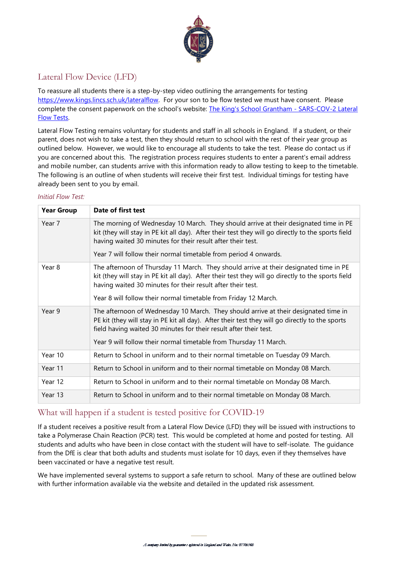

# Lateral Flow Device (LFD)

To reassure all students there is a step-by-step video outlining the arrangements for testing [https://www.kings.lincs.sch.uk/lateralflow.](https://www.kings.lincs.sch.uk/lateralflow) For your son to be flow tested we must have consent. Please complete the consent paperwork on the school's website: The King's School Grantham - [SARS-COV-2](https://www.kings.lincs.sch.uk/lateralflow) Lateral Flow [Tests.](https://www.kings.lincs.sch.uk/lateralflow)

Lateral Flow Testing remains voluntary for students and staff in all schools in England. If a student, or their parent, does not wish to take a test, then they should return to school with the rest of their year group as outlined below. However, we would like to encourage all students to take the test. Please do contact us if you are concerned about this. The registration process requires students to enter a parent's email address and mobile number, can students arrive with this information ready to allow testing to keep to the timetable. The following is an outline of when students will receive their first test. Individual timings for testing have already been sent to you by email.

#### *Initial Flow Test:*

| <b>Year Group</b> | Date of first test                                                                                                                                                                                                                                          |  |
|-------------------|-------------------------------------------------------------------------------------------------------------------------------------------------------------------------------------------------------------------------------------------------------------|--|
| Year 7            | The morning of Wednesday 10 March. They should arrive at their designated time in PE<br>kit (they will stay in PE kit all day). After their test they will go directly to the sports field<br>having waited 30 minutes for their result after their test.   |  |
|                   | Year 7 will follow their normal timetable from period 4 onwards.                                                                                                                                                                                            |  |
| Year 8            | The afternoon of Thursday 11 March. They should arrive at their designated time in PE<br>kit (they will stay in PE kit all day). After their test they will go directly to the sports field<br>having waited 30 minutes for their result after their test.  |  |
|                   | Year 8 will follow their normal timetable from Friday 12 March.                                                                                                                                                                                             |  |
| Year 9            | The afternoon of Wednesday 10 March. They should arrive at their designated time in<br>PE kit (they will stay in PE kit all day). After their test they will go directly to the sports<br>field having waited 30 minutes for their result after their test. |  |
|                   | Year 9 will follow their normal timetable from Thursday 11 March.                                                                                                                                                                                           |  |
| Year 10           | Return to School in uniform and to their normal timetable on Tuesday 09 March.                                                                                                                                                                              |  |
| Year 11           | Return to School in uniform and to their normal timetable on Monday 08 March.                                                                                                                                                                               |  |
| Year 12           | Return to School in uniform and to their normal timetable on Monday 08 March.                                                                                                                                                                               |  |
| Year 13           | Return to School in uniform and to their normal timetable on Monday 08 March.                                                                                                                                                                               |  |

## What will happen if a student is tested positive for COVID-19

If a student receives a positive result from a Lateral Flow Device (LFD) they will be issued with instructions to take a Polymerase Chain Reaction (PCR) test. This would be completed at home and posted for testing. All students and adults who have been in close contact with the student will have to self-isolate. The guidance from the DfE is clear that both adults and students must isolate for 10 days, even if they themselves have been vaccinated or have a negative test result.

We have implemented several systems to support a safe return to school. Many of these are outlined below with further information available via the website and detailed in the updated risk assessment.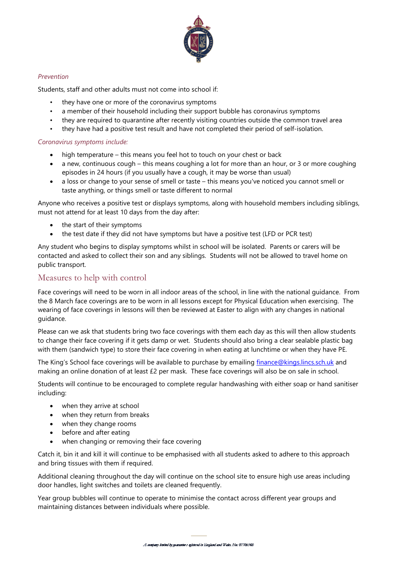

#### *Prevention*

Students, staff and other adults must not come into school if:

- they have one or more of the coronavirus symptoms
- a member of their household including their support bubble has coronavirus symptoms
- they are required to quarantine after recently visiting countries outside the common travel area
- they have had a positive test result and have not completed their period of self-isolation.

#### *Coronavirus symptoms include:*

- high temperature this means you feel hot to touch on your chest or back
- a new, continuous cough this means coughing a lot for more than an hour, or 3 or more coughing episodes in 24 hours (if you usually have a cough, it may be worse than usual)
- a loss or change to your sense of smell or taste this means you've noticed you cannot smell or taste anything, or things smell or taste different to normal

Anyone who receives a positive test or displays symptoms, along with household members including siblings, must not attend for at least 10 days from the day after:

- the start of their symptoms
- the test date if they did not have symptoms but have a positive test (LFD or PCR test)

Any student who begins to display symptoms whilst in school will be isolated. Parents or carers will be contacted and asked to collect their son and any siblings. Students will not be allowed to travel home on public transport.

### Measures to help with control

Face coverings will need to be worn in all indoor areas of the school, in line with the national guidance. From the 8 March face coverings are to be worn in all lessons except for Physical Education when exercising. The wearing of face coverings in lessons will then be reviewed at Easter to align with any changes in national guidance.

Please can we ask that students bring two face coverings with them each day as this will then allow students to change their face covering if it gets damp or wet. Students should also bring a clear sealable plastic bag with them (sandwich type) to store their face covering in when eating at lunchtime or when they have PE.

The King's School face coverings will be available to purchase by emailing [finance@kings.lincs.sch.uk](mailto:finance@kings.lincs.sch.uk) and making an online donation of at least £2 per mask. These face coverings will also be on sale in school.

Students will continue to be encouraged to complete regular handwashing with either soap or hand sanitiser including:

- when they arrive at school
- when they return from breaks
- when they change rooms
- before and after eating
- when changing or removing their face covering

Catch it, bin it and kill it will continue to be emphasised with all students asked to adhere to this approach and bring tissues with them if required.

Additional cleaning throughout the day will continue on the school site to ensure high use areas including door handles, light switches and toilets are cleaned frequently.

Year group bubbles will continue to operate to minimise the contact across different year groups and maintaining distances between individuals where possible.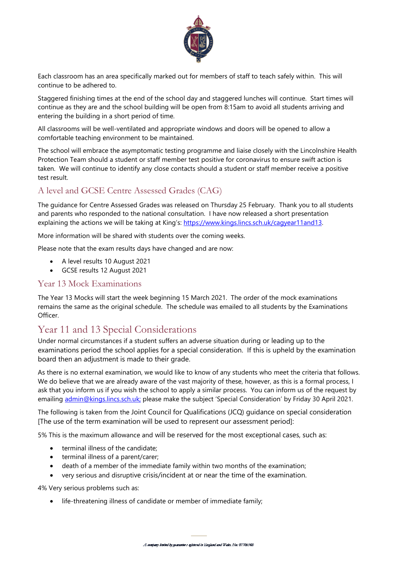

Each classroom has an area specifically marked out for members of staff to teach safely within. This will continue to be adhered to.

Staggered finishing times at the end of the school day and staggered lunches will continue. Start times will continue as they are and the school building will be open from 8:15am to avoid all students arriving and entering the building in a short period of time.

All classrooms will be well-ventilated and appropriate windows and doors will be opened to allow a comfortable teaching environment to be maintained.

The school will embrace the asymptomatic testing programme and liaise closely with the Lincolnshire Health Protection Team should a student or staff member test positive for coronavirus to ensure swift action is taken. We will continue to identify any close contacts should a student or staff member receive a positive test result.

# A level and GCSE Centre Assessed Grades (CAG)

The guidance for Centre Assessed Grades was released on Thursday 25 February. Thank you to all students and parents who responded to the national consultation. I have now released a short presentation explaining the actions we will be taking at King's: [https://www.kings.lincs.sch.uk/cagyear11and13.](https://www.kings.lincs.sch.uk/cagyear11and13)

More information will be shared with students over the coming weeks.

Please note that the exam results days have changed and are now:

- A level results 10 August 2021
- GCSE results 12 August 2021

## Year 13 Mock Examinations

The Year 13 Mocks will start the week beginning 15 March 2021. The order of the mock examinations remains the same as the original schedule. The schedule was emailed to all students by the Examinations Officer.

# Year 11 and 13 Special Considerations

Under normal circumstances if a student suffers an adverse situation during or leading up to the examinations period the school applies for a special consideration. If this is upheld by the examination board then an adjustment is made to their grade.

As there is no external examination, we would like to know of any students who meet the criteria that follows. We do believe that we are already aware of the vast majority of these, however, as this is a formal process, I ask that you inform us if you wish the school to apply a similar process. You can inform us of the request by emailing [admin@kings.lincs.sch.uk;](mailto:admin@kings.lincs.sch.uk;) please make the subject 'Special Consideration' by Friday 30 April 2021.

The following is taken from the Joint Council for Qualifications (JCQ) guidance on special consideration [The use of the term examination will be used to represent our assessment period]:

5% This is the maximum allowance and will be reserved for the most exceptional cases, such as:

- terminal illness of the candidate;
- terminal illness of a parent/carer;
- death of a member of the immediate family within two months of the examination;
- very serious and disruptive crisis/incident at or near the time of the examination.

4% Very serious problems such as:

life-threatening illness of candidate or member of immediate family;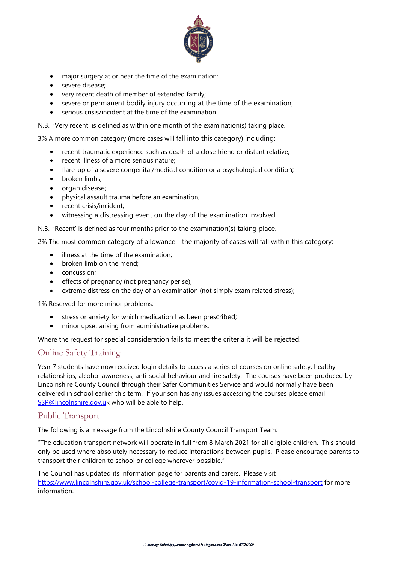

- major surgery at or near the time of the examination;
- severe disease;
- very recent death of member of extended family;
- severe or permanent bodily injury occurring at the time of the examination;
- serious crisis/incident at the time of the examination.

N.B. 'Very recent' is defined as within one month of the examination(s) taking place.

3% A more common category (more cases will fall into this category) including:

- recent traumatic experience such as death of a close friend or distant relative;
- recent illness of a more serious nature;
- flare-up of a severe congenital/medical condition or a psychological condition;
- broken limbs:
- organ disease;
- physical assault trauma before an examination;
- recent crisis/incident;
- witnessing a distressing event on the day of the examination involved.

N.B. 'Recent' is defined as four months prior to the examination(s) taking place.

2% The most common category of allowance - the majority of cases will fall within this category:

- illness at the time of the examination:
- broken limb on the mend;
- concussion;
- effects of pregnancy (not pregnancy per se);
- extreme distress on the day of an examination (not simply exam related stress);

1% Reserved for more minor problems:

- stress or anxiety for which medication has been prescribed;
- minor upset arising from administrative problems.

Where the request for special consideration fails to meet the criteria it will be rejected.

### Online Safety Training

Year 7 students have now received login details to access a series of courses on online safety, healthy relationships, alcohol awareness, anti-social behaviour and fire safety. The courses have been produced by Lincolnshire County Council through their Safer Communities Service and would normally have been delivered in school earlier this term. If your son has any issues accessing the courses please email [SSP@lincolnshire.gov.uk](mailto:SSP@lincolnshire.gov.uk) who will be able to help.

### Public Transport

The following is a message from the Lincolnshire County Council Transport Team:

"The education transport network will operate in full from 8 March 2021 for all eligible children. This should only be used where absolutely necessary to reduce interactions between pupils. Please encourage parents to transport their children to school or college wherever possible."

The Council has updated its information page for parents and carers. Please visit <https://www.lincolnshire.gov.uk/school-college-transport/covid-19-information-school-transport> for more information.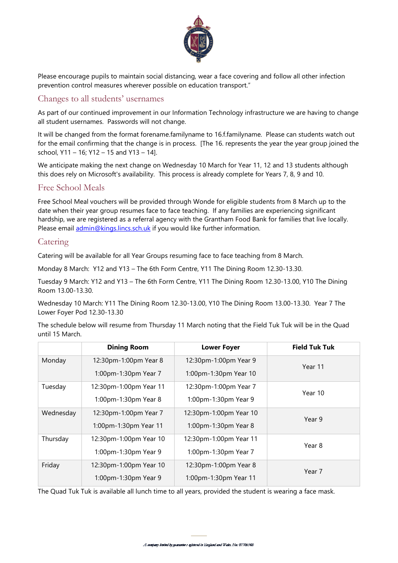

Please encourage pupils to maintain social distancing, wear a face covering and follow all other infection prevention control measures wherever possible on education transport."

# Changes to all students' usernames

As part of our continued improvement in our Information Technology infrastructure we are having to change all student usernames. Passwords will not change.

It will be changed from the format forename.familyname to 16.f.familyname. Please can students watch out for the email confirming that the change is in process. [The 16. represents the year the year group joined the school, Y11 – 16; Y12 – 15 and Y13 – 14].

We anticipate making the next change on Wednesday 10 March for Year 11, 12 and 13 students although this does rely on Microsoft's availability. This process is already complete for Years 7, 8, 9 and 10.

### Free School Meals

Free School Meal vouchers will be provided through Wonde for eligible students from 8 March up to the date when their year group resumes face to face teaching. If any families are experiencing significant hardship, we are registered as a referral agency with the Grantham Food Bank for families that live locally. Please email [admin@kings.lincs.sch.uk](mailto:admin@kings.lincs.sch.uk) if you would like further information.

## Catering

Catering will be available for all Year Groups resuming face to face teaching from 8 March.

Monday 8 March: Y12 and Y13 – The 6th Form Centre, Y11 The Dining Room 12.30-13.30.

Tuesday 9 March: Y12 and Y13 – The 6th Form Centre, Y11 The Dining Room 12.30-13.00, Y10 The Dining Room 13.00-13.30.

Wednesday 10 March: Y11 The Dining Room 12.30-13.00, Y10 The Dining Room 13.00-13.30. Year 7 The Lower Foyer Pod 12.30-13.30

The schedule below will resume from Thursday 11 March noting that the Field Tuk Tuk will be in the Quad until 15 March.

|           | <b>Dining Room</b>     | <b>Lower Foyer</b>     | <b>Field Tuk Tuk</b> |
|-----------|------------------------|------------------------|----------------------|
| Monday    | 12:30pm-1:00pm Year 8  | 12:30pm-1:00pm Year 9  | Year 11              |
|           | 1:00pm-1:30pm Year 7   | 1:00pm-1:30pm Year 10  |                      |
| Tuesday   | 12:30pm-1:00pm Year 11 | 12:30pm-1:00pm Year 7  | Year 10              |
|           | 1:00pm-1:30pm Year 8   | 1:00pm-1:30pm Year 9   |                      |
| Wednesday | 12:30pm-1:00pm Year 7  | 12:30pm-1:00pm Year 10 | Year 9               |
|           | 1:00pm-1:30pm Year 11  | 1:00pm-1:30pm Year 8   |                      |
| Thursday  | 12:30pm-1:00pm Year 10 | 12:30pm-1:00pm Year 11 | Year 8               |
|           | 1:00pm-1:30pm Year 9   | 1:00pm-1:30pm Year 7   |                      |
| Friday    | 12:30pm-1:00pm Year 10 | 12:30pm-1:00pm Year 8  | Year 7               |
|           | 1:00pm-1:30pm Year 9   | 1:00pm-1:30pm Year 11  |                      |

The Quad Tuk Tuk is available all lunch time to all years, provided the student is wearing a face mask.